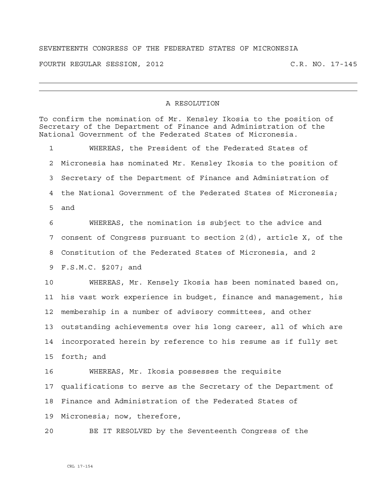## SEVENTEENTH CONGRESS OF THE FEDERATED STATES OF MICRONESIA

FOURTH REGULAR SESSION, 2012 C.R. NO. 17-145

## A RESOLUTION

To confirm the nomination of Mr. Kensley Ikosia to the position of Secretary of the Department of Finance and Administration of the National Government of the Federated States of Micronesia. 1 WHEREAS, the President of the Federated States of 2 Micronesia has nominated Mr. Kensley Ikosia to the position of 3 Secretary of the Department of Finance and Administration of 4 the National Government of the Federated States of Micronesia; 5 and 6 WHEREAS, the nomination is subject to the advice and 7 consent of Congress pursuant to section 2(d), article X, of the 8 Constitution of the Federated States of Micronesia, and 2 9 F.S.M.C. §207; and 10 WHEREAS, Mr. Kensely Ikosia has been nominated based on, 11 his vast work experience in budget, finance and management, his 12 membership in a number of advisory committees, and other 13 outstanding achievements over his long career, all of which are 14 incorporated herein by reference to his resume as if fully set 15 forth; and 16 WHEREAS, Mr. Ikosia possesses the requisite 17 qualifications to serve as the Secretary of the Department of 18 Finance and Administration of the Federated States of 19 Micronesia; now, therefore, 20 BE IT RESOLVED by the Seventeenth Congress of the